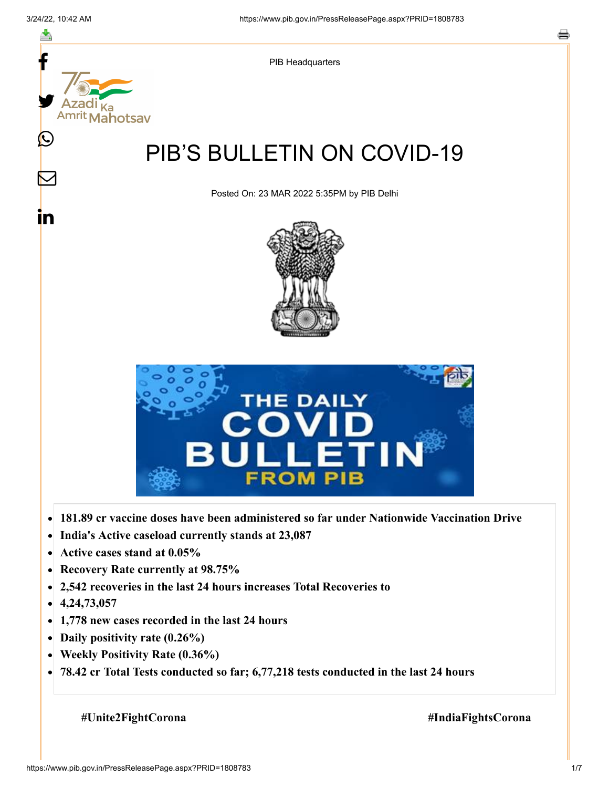

- **Active cases stand at 0.05%**  $\bullet$
- **Recovery Rate currently at 98.75%**  $\bullet$
- **2,542 recoveries in the last 24 hours increases Total Recoveries to**  $\bullet$
- **4,24,73,057**  $\bullet$
- **1,778 new cases recorded in the last 24 hours**  $\bullet$
- **Daily positivity rate (0.26%)**
- **Weekly Positivity Rate (0.36%)**  $\bullet$
- **78.42 cr Total Tests conducted so far; 6,77,218 tests conducted in the last 24 hours**  $\bullet$

**#Unite2FightCorona #IndiaFightsCorona**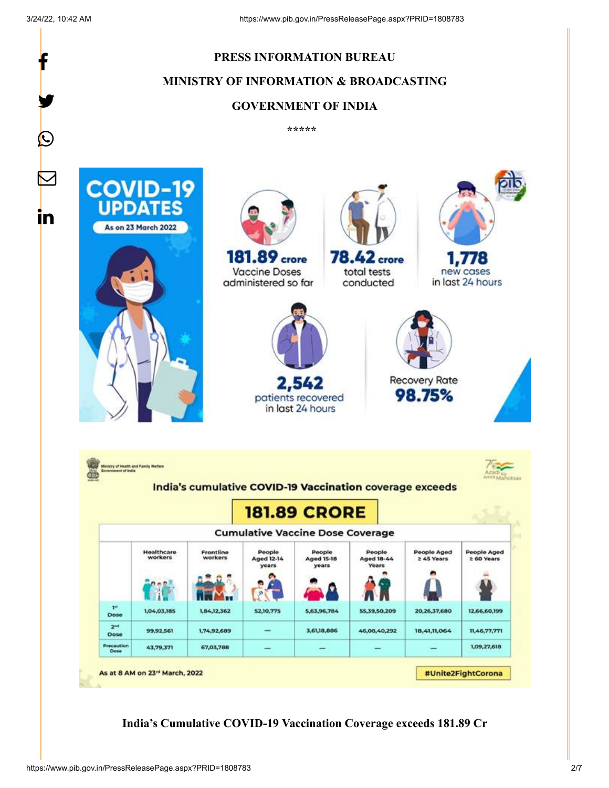

**India's Cumulative COVID-19 Vaccination Coverage exceeds 181.89 Cr**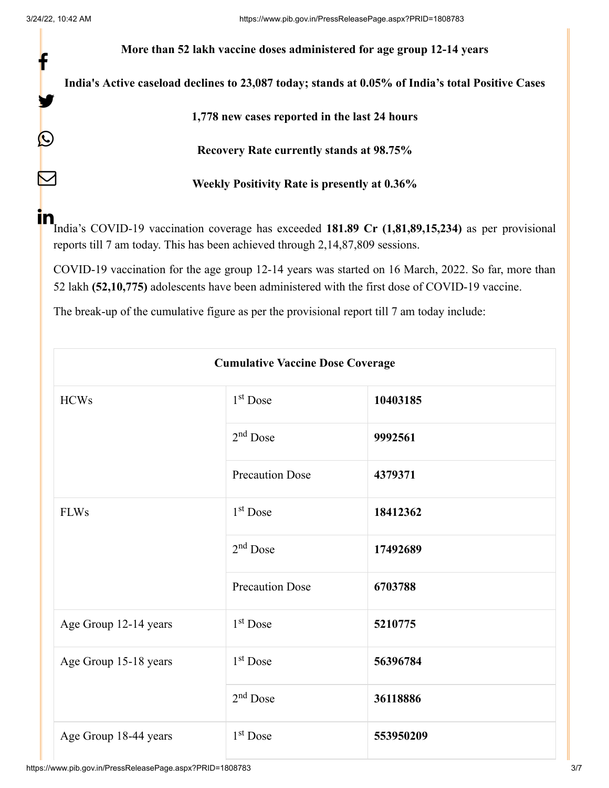f

y.

 $\bigcirc$ 

 $\sum$ 

**More than 52 lakh vaccine doses administered for age group 12-14 years**

**India's Active caseload declines to 23,087 today; stands at 0.05% of India's total Positive Cases**

**1,778 new cases reported in the last 24 hours**

**Recovery Rate currently stands at 98.75%**

**Weekly Positivity Rate is presently at 0.36%**

India's COVID-19 vaccination coverage has exceeded **181.89 Cr (1,81,89,15,234)** as per provisional reports till 7 am today. This has been achieved through 2,14,87,809 sessions. in

COVID-19 vaccination for the age group 12-14 years was started on 16 March, 2022. So far, more than 52 lakh **(52,10,775)** adolescents have been administered with the first dose of COVID-19 vaccine.

The break-up of the cumulative figure as per the provisional report till 7 am today include:

| <b>Cumulative Vaccine Dose Coverage</b> |                        |           |  |  |
|-----------------------------------------|------------------------|-----------|--|--|
| <b>HCWs</b>                             | $1st$ Dose             | 10403185  |  |  |
|                                         | $2nd$ Dose             | 9992561   |  |  |
|                                         | <b>Precaution Dose</b> | 4379371   |  |  |
| <b>FLWs</b>                             | $1st$ Dose             | 18412362  |  |  |
|                                         | $2nd$ Dose             | 17492689  |  |  |
|                                         | <b>Precaution Dose</b> | 6703788   |  |  |
| Age Group 12-14 years                   | $1st$ Dose             | 5210775   |  |  |
| Age Group 15-18 years                   | $1st$ Dose             | 56396784  |  |  |
|                                         | $2nd$ Dose             | 36118886  |  |  |
| Age Group 18-44 years                   | 1 <sup>st</sup> Dose   | 553950209 |  |  |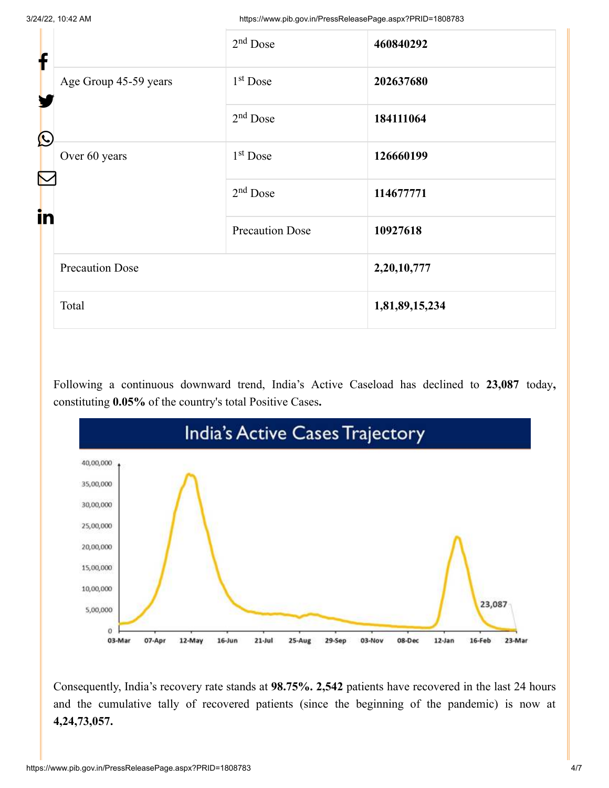3/24/22, 10:42 AM https://www.pib.gov.in/PressReleasePage.aspx?PRID=1808783

| f<br>Y<br>$\bigcirc$ |                        | $2nd$ Dose             | 460840292      |
|----------------------|------------------------|------------------------|----------------|
|                      | Age Group 45-59 years  | $1st$ Dose             | 202637680      |
|                      |                        | $2nd$ Dose             | 184111064      |
| in                   | Over 60 years          | $1st$ Dose             | 126660199      |
|                      |                        | $2nd$ Dose             | 114677771      |
|                      |                        | <b>Precaution Dose</b> | 10927618       |
|                      | <b>Precaution Dose</b> |                        | 2,20,10,777    |
|                      | Total                  |                        | 1,81,89,15,234 |

Following a continuous downward trend, India's Active Caseload has declined to **23,087** today**,** constituting **0.05%** of the country's total Positive Cases**.**



Consequently, India's recovery rate stands at **98.75%. 2,542** patients have recovered in the last 24 hours and the cumulative tally of recovered patients (since the beginning of the pandemic) is now at **4,24,73,057.**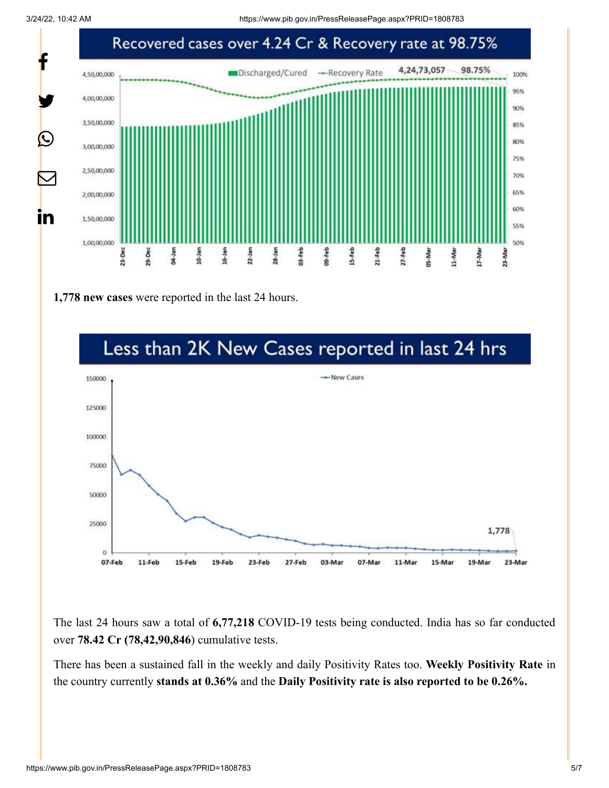3/24/22, 10:42 AM https://www.pib.gov.in/PressReleasePage.aspx?PRID=1808783



**1,778 new cases** were reported in the last 24 hours.



The last 24 hours saw a total of **6,77,218** COVID-19 tests being conducted. India has so far conducted over **78.42 Cr (78,42,90,846**) cumulative tests.

There has been a sustained fall in the weekly and daily Positivity Rates too. **Weekly Positivity Rate** in the country currently **stands at 0.36%** and the **Daily Positivity rate is also reported to be 0.26%.**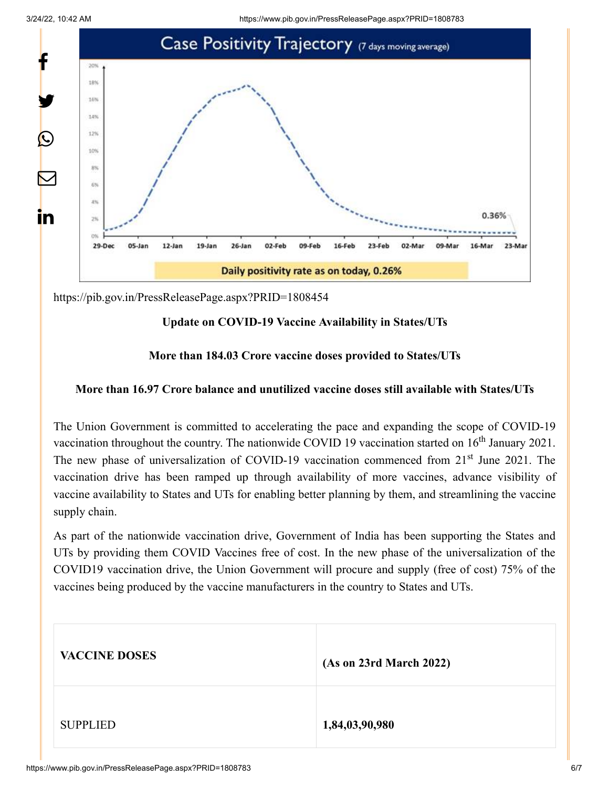

<https://pib.gov.in/PressReleasePage.aspx?PRID=1808454>

## **Update on COVID-19 Vaccine Availability in States/UTs**

## **More than 184.03 Crore vaccine doses provided to States/UTs**

## **More than 16.97 Crore balance and unutilized vaccine doses still available with States/UTs**

The Union Government is committed to accelerating the pace and expanding the scope of COVID-19 vaccination throughout the country. The nationwide COVID 19 vaccination started on  $16<sup>th</sup>$  January 2021. The new phase of universalization of COVID-19 vaccination commenced from 21<sup>st</sup> June 2021. The vaccination drive has been ramped up through availability of more vaccines, advance visibility of vaccine availability to States and UTs for enabling better planning by them, and streamlining the vaccine supply chain.

As part of the nationwide vaccination drive, Government of India has been supporting the States and UTs by providing them COVID Vaccines free of cost. In the new phase of the universalization of the COVID19 vaccination drive, the Union Government will procure and supply (free of cost) 75% of the vaccines being produced by the vaccine manufacturers in the country to States and UTs.

| <b>VACCINE DOSES</b> | (As on 23rd March 2022) |
|----------------------|-------------------------|
| <b>SUPPLIED</b>      | 1,84,03,90,980          |